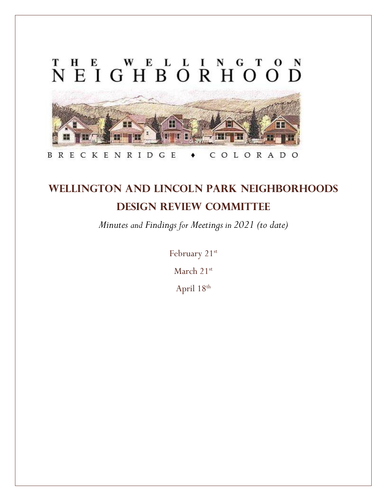

# **Wellington and Lincoln Park Neighborhoods Design Review Committee**

*Minutes and Findings for Meetings in 2021 (to date)*

February 21<sup>st</sup>

March 21st

April  $18^{\text{th}}$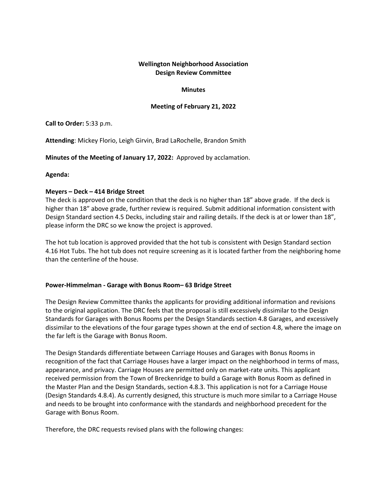## **Minutes**

## **Meeting of February 21, 2022**

#### **Call to Order:** 5:33 p.m.

**Attending**: Mickey Florio, Leigh Girvin, Brad LaRochelle, Brandon Smith

**Minutes of the Meeting of January 17, 2022:** Approved by acclamation.

## **Agenda:**

## **Meyers – Deck – 414 Bridge Street**

The deck is approved on the condition that the deck is no higher than 18" above grade. If the deck is higher than 18" above grade, further review is required. Submit additional information consistent with Design Standard section 4.5 Decks, including stair and railing details. If the deck is at or lower than 18", please inform the DRC so we know the project is approved.

The hot tub location is approved provided that the hot tub is consistent with Design Standard section 4.16 Hot Tubs. The hot tub does not require screening as it is located farther from the neighboring home than the centerline of the house.

# **Power-Himmelman - Garage with Bonus Room– 63 Bridge Street**

The Design Review Committee thanks the applicants for providing additional information and revisions to the original application. The DRC feels that the proposal is still excessively dissimilar to the Design Standards for Garages with Bonus Rooms per the Design Standards section 4.8 Garages, and excessively dissimilar to the elevations of the four garage types shown at the end of section 4.8, where the image on the far left is the Garage with Bonus Room.

The Design Standards differentiate between Carriage Houses and Garages with Bonus Rooms in recognition of the fact that Carriage Houses have a larger impact on the neighborhood in terms of mass, appearance, and privacy. Carriage Houses are permitted only on market-rate units. This applicant received permission from the Town of Breckenridge to build a Garage with Bonus Room as defined in the Master Plan and the Design Standards, section 4.8.3. This application is not for a Carriage House (Design Standards 4.8.4). As currently designed, this structure is much more similar to a Carriage House and needs to be brought into conformance with the standards and neighborhood precedent for the Garage with Bonus Room.

Therefore, the DRC requests revised plans with the following changes: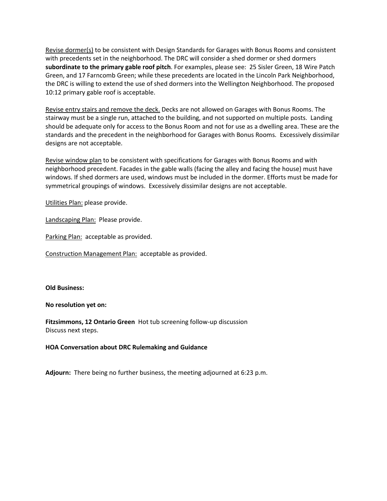Revise dormer(s) to be consistent with Design Standards for Garages with Bonus Rooms and consistent with precedents set in the neighborhood. The DRC will consider a shed dormer or shed dormers **subordinate to the primary gable roof pitch**. For examples, please see: 25 Sisler Green, 18 Wire Patch Green, and 17 Farncomb Green; while these precedents are located in the Lincoln Park Neighborhood, the DRC is willing to extend the use of shed dormers into the Wellington Neighborhood. The proposed 10:12 primary gable roof is acceptable.

Revise entry stairs and remove the deck. Decks are not allowed on Garages with Bonus Rooms. The stairway must be a single run, attached to the building, and not supported on multiple posts. Landing should be adequate only for access to the Bonus Room and not for use as a dwelling area. These are the standards and the precedent in the neighborhood for Garages with Bonus Rooms. Excessively dissimilar designs are not acceptable.

Revise window plan to be consistent with specifications for Garages with Bonus Rooms and with neighborhood precedent. Facades in the gable walls (facing the alley and facing the house) must have windows. If shed dormers are used, windows must be included in the dormer. Efforts must be made for symmetrical groupings of windows. Excessively dissimilar designs are not acceptable.

Utilities Plan: please provide.

Landscaping Plan: Please provide.

Parking Plan: acceptable as provided.

Construction Management Plan: acceptable as provided.

#### **Old Business:**

#### **No resolution yet on:**

**Fitzsimmons, 12 Ontario Green** Hot tub screening follow-up discussion Discuss next steps.

#### **HOA Conversation about DRC Rulemaking and Guidance**

**Adjourn:** There being no further business, the meeting adjourned at 6:23 p.m.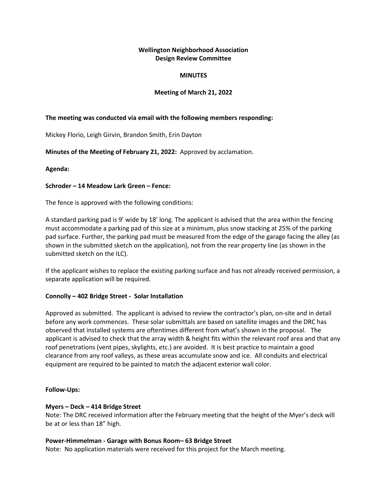#### **MINUTES**

# **Meeting of March 21, 2022**

# **The meeting was conducted via email with the following members responding:**

Mickey Florio, Leigh Girvin, Brandon Smith, Erin Dayton

**Minutes of the Meeting of February 21, 2022:** Approved by acclamation.

**Agenda:** 

# **Schroder – 14 Meadow Lark Green – Fence:**

The fence is approved with the following conditions:

A standard parking pad is 9' wide by 18' long. The applicant is advised that the area within the fencing must accommodate a parking pad of this size at a minimum, plus snow stacking at 25% of the parking pad surface. Further, the parking pad must be measured from the edge of the garage facing the alley (as shown in the submitted sketch on the application), not from the rear property line (as shown in the submitted sketch on the ILC).

If the applicant wishes to replace the existing parking surface and has not already received permission, a separate application will be required.

# **Connolly – 402 Bridge Street - Solar Installation**

Approved as submitted. The applicant is advised to review the contractor's plan, on-site and in detail before any work commences. These solar submittals are based on satellite images and the DRC has observed that installed systems are oftentimes different from what's shown in the proposal. The applicant is advised to check that the array width & height fits within the relevant roof area and that any roof penetrations (vent pipes, skylights, etc.) are avoided. It is best practice to maintain a good clearance from any roof valleys, as these areas accumulate snow and ice. All conduits and electrical equipment are required to be painted to match the adjacent exterior wall color.

# **Follow-Ups:**

# **Myers – Deck – 414 Bridge Street**

Note: The DRC received information after the February meeting that the height of the Myer's deck will be at or less than 18" high.

# **Power-Himmelman - Garage with Bonus Room– 63 Bridge Street**

Note: No application materials were received for this project for the March meeting.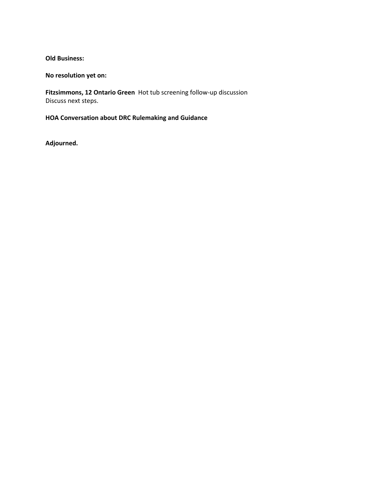# **Old Business:**

# **No resolution yet on:**

**Fitzsimmons, 12 Ontario Green** Hot tub screening follow-up discussion Discuss next steps.

**HOA Conversation about DRC Rulemaking and Guidance**

**Adjourned.**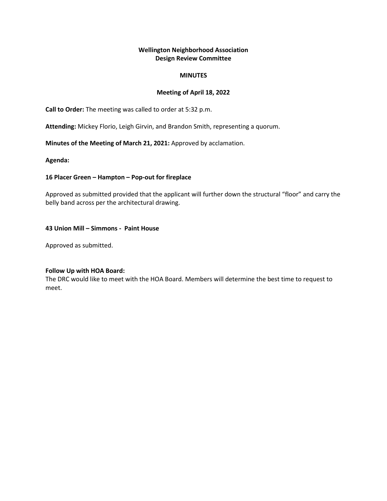#### **MINUTES**

# **Meeting of April 18, 2022**

**Call to Order:** The meeting was called to order at 5:32 p.m.

**Attending:** Mickey Florio, Leigh Girvin, and Brandon Smith, representing a quorum.

**Minutes of the Meeting of March 21, 2021:** Approved by acclamation.

**Agenda:** 

## **16 Placer Green – Hampton – Pop-out for fireplace**

Approved as submitted provided that the applicant will further down the structural "floor" and carry the belly band across per the architectural drawing.

## **43 Union Mill – Simmons - Paint House**

Approved as submitted.

#### **Follow Up with HOA Board:**

The DRC would like to meet with the HOA Board. Members will determine the best time to request to meet.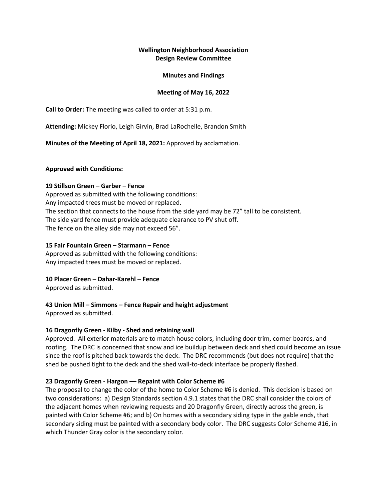## **Minutes and Findings**

# **Meeting of May 16, 2022**

**Call to Order:** The meeting was called to order at 5:31 p.m.

**Attending:** Mickey Florio, Leigh Girvin, Brad LaRochelle, Brandon Smith

**Minutes of the Meeting of April 18, 2021:** Approved by acclamation.

## **Approved with Conditions:**

## **19 Stillson Green – Garber – Fence**

Approved as submitted with the following conditions: Any impacted trees must be moved or replaced. The section that connects to the house from the side yard may be 72" tall to be consistent. The side yard fence must provide adequate clearance to PV shut off. The fence on the alley side may not exceed 56".

## **15 Fair Fountain Green – Starmann – Fence**

Approved as submitted with the following conditions: Any impacted trees must be moved or replaced.

# **10 Placer Green – Dahar-Karehl – Fence**

Approved as submitted.

# **43 Union Mill – Simmons – Fence Repair and height adjustment**

Approved as submitted.

# **16 Dragonfly Green - Kilby - Shed and retaining wall**

Approved. All exterior materials are to match house colors, including door trim, corner boards, and roofing. The DRC is concerned that snow and ice buildup between deck and shed could become an issue since the roof is pitched back towards the deck. The DRC recommends (but does not require) that the shed be pushed tight to the deck and the shed wall-to-deck interface be properly flashed.

# **23 Dragonfly Green - Hargon –– Repaint with Color Scheme #6**

The proposal to change the color of the home to Color Scheme #6 is denied. This decision is based on two considerations: a) Design Standards section 4.9.1 states that the DRC shall consider the colors of the adjacent homes when reviewing requests and 20 Dragonfly Green, directly across the green, is painted with Color Scheme #6; and b) On homes with a secondary siding type in the gable ends, that secondary siding must be painted with a secondary body color. The DRC suggests Color Scheme #16, in which Thunder Gray color is the secondary color.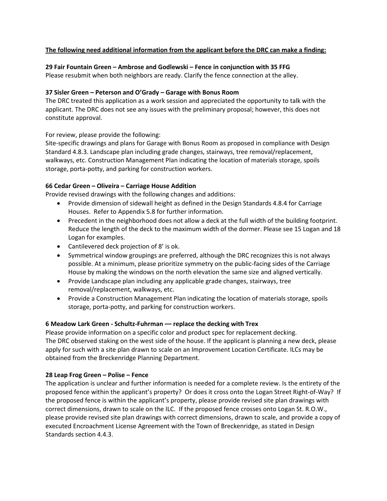# **The following need additional information from the applicant before the DRC can make a finding:**

# **29 Fair Fountain Green – Ambrose and Godlewski – Fence in conjunction with 35 FFG**

Please resubmit when both neighbors are ready. Clarify the fence connection at the alley.

# **37 Sisler Green – Peterson and O'Grady – Garage with Bonus Room**

The DRC treated this application as a work session and appreciated the opportunity to talk with the applicant. The DRC does not see any issues with the preliminary proposal; however, this does not constitute approval.

For review, please provide the following:

Site-specific drawings and plans for Garage with Bonus Room as proposed in compliance with Design Standard 4.8.3. Landscape plan including grade changes, stairways, tree removal/replacement, walkways, etc. Construction Management Plan indicating the location of materials storage, spoils storage, porta-potty, and parking for construction workers.

# **66 Cedar Green – Oliveira – Carriage House Addition**

Provide revised drawings with the following changes and additions:

- Provide dimension of sidewall height as defined in the Design Standards 4.8.4 for Carriage Houses. Refer to Appendix 5.8 for further information.
- Precedent in the neighborhood does not allow a deck at the full width of the building footprint. Reduce the length of the deck to the maximum width of the dormer. Please see 15 Logan and 18 Logan for examples.
- Cantilevered deck projection of 8' is ok.
- Symmetrical window groupings are preferred, although the DRC recognizes this is not always possible. At a minimum, please prioritize symmetry on the public-facing sides of the Carriage House by making the windows on the north elevation the same size and aligned vertically.
- Provide Landscape plan including any applicable grade changes, stairways, tree removal/replacement, walkways, etc.
- Provide a Construction Management Plan indicating the location of materials storage, spoils storage, porta-potty, and parking for construction workers.

# **6 Meadow Lark Green - Schultz-Fuhrman –– replace the decking with Trex**

Please provide information on a specific color and product spec for replacement decking. The DRC observed staking on the west side of the house. If the applicant is planning a new deck, please apply for such with a site plan drawn to scale on an Improvement Location Certificate. ILCs may be obtained from the Breckenridge Planning Department.

# **28 Leap Frog Green – Polise – Fence**

The application is unclear and further information is needed for a complete review. Is the entirety of the proposed fence within the applicant's property? Or does it cross onto the Logan Street Right-of-Way? If the proposed fence is within the applicant's property, please provide revised site plan drawings with correct dimensions, drawn to scale on the ILC. If the proposed fence crosses onto Logan St. R.O.W., please provide revised site plan drawings with correct dimensions, drawn to scale, and provide a copy of executed Encroachment License Agreement with the Town of Breckenridge, as stated in Design Standards section 4.4.3.